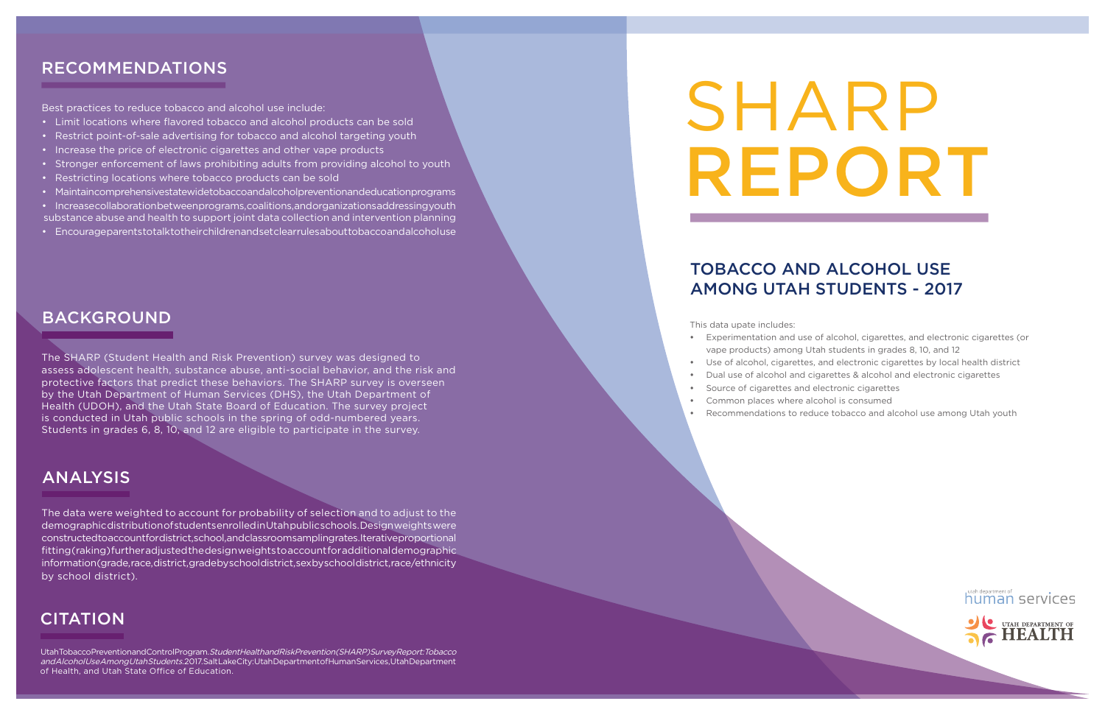# SHARP REPORT

# TOBACCO AND ALCOHOL USE AMONG UTAH STUDENTS - 2017

# RECOMMENDATIONS

Utah Tobacco Prevention and Control Program. Student Health and Risk Prevention (SHARP) Survey Report: Tobacco and Alcohol Use Among Utah Students. 2017. Salt Lake City: Utah Department of Human Services, Utah Department of Health, and Utah State Office of Education.

This data upate includes:

**•** Experimentation and use of alcohol, cigarettes, and electronic cigarettes (or vape products) among Utah students in grades 8, 10, and 12 **•** Use of alcohol, cigarettes, and electronic cigarettes by local health district **•** Dual use of alcohol and cigarettes & alcohol and electronic cigarettes



- 
- 
- 
- **•** Source of cigarettes and electronic cigarettes
- **•** Common places where alcohol is consumed
- **•** Recommendations to reduce tobacco and alcohol use among Utah youth
- Limit locations where flavored tobacco and alcohol products can be sold
- Restrict point-of-sale advertising for tobacco and alcohol targeting youth
- Increase the price of electronic cigarettes and other vape products
- Stronger enforcement of laws prohibiting adults from providing alcohol to youth
- Restricting locations where tobacco products can be sold
- Maintain comprehensive statewide to bacco and alcohol prevention and education programs
- Increase collaboration between programs, coalitions, and organizations addressing youth substance abuse and health to support joint data collection and intervention planning
- Encourage parents to talk to their children and set clear rules about to bacco and alcohol use

The SHARP (Student Health and Risk Prevention) survey was designed to assess adolescent health, substance abuse, anti-social behavior, and the risk and protective factors that predict these behaviors. The SHARP survey is overseen by the Utah Department of Human Services (DHS), the Utah Department of Health (UDOH), and the Utah State Board of Education. The survey project is conducted in Utah public schools in the spring of odd-numbered years. Students in grades 6, 8, 10, and 12 are eligible to participate in the survey.

## BACKGROUND

The data were weighted to account for probability of selection and to adjust to the demographic distribution of students enrolled in Utah public schools. Design weights were constructed to account for district, school, and classroom sampling rates. Iterative proportional fitting (raking) further adjusted the design weights to account for additional demographic information (grade, race, district, grade by school district, sex by school district, race/ethnicity by school district).

# **CITATION**

## ANALYSIS

Best practices to reduce tobacco and alcohol use include: